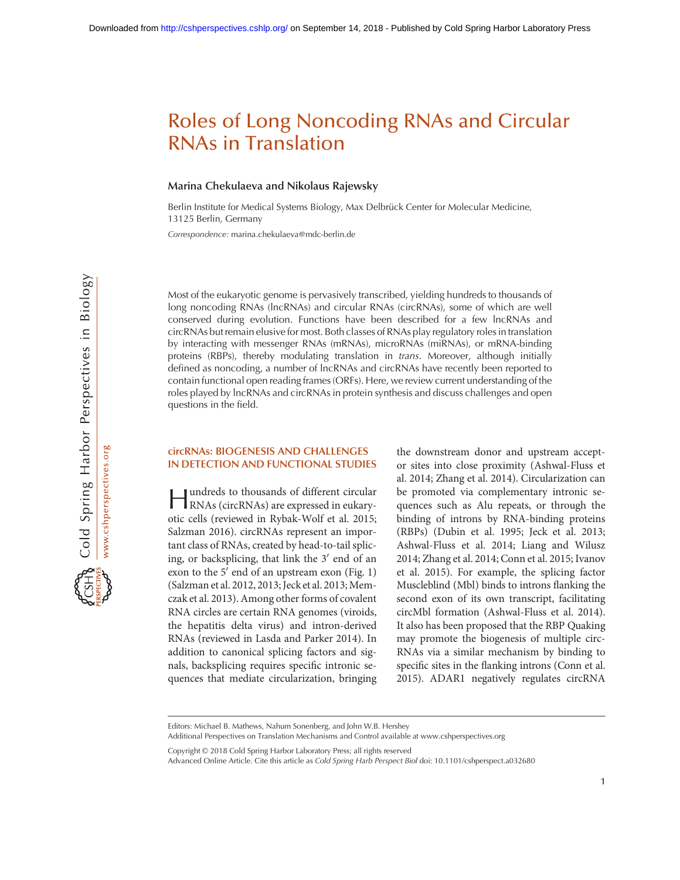#### Marina Chekulaeva and Nikolaus Rajewsky

Berlin Institute for Medical Systems Biology, Max Delbrück Center for Molecular Medicine, 13125 Berlin, Germany

Correspondence: [marina.chekulaeva@mdc-berlin.de](mailto:marina.chekulaeva@mdc-berlin.de)

Most of the eukaryotic genome is pervasively transcribed, yielding hundreds to thousands of long noncoding RNAs (lncRNAs) and circular RNAs (circRNAs), some of which are well conserved during evolution. Functions have been described for a few lncRNAs and circRNAs but remain elusive for most. Both classes of RNAs play regulatory roles in translation by interacting with messenger RNAs (mRNAs), microRNAs (miRNAs), or mRNA-binding proteins (RBPs), thereby modulating translation in trans. Moreover, although initially defined as noncoding, a number of lncRNAs and circRNAs have recently been reported to contain functional open reading frames (ORFs). Here, we review current understanding of the roles played by lncRNAs and circRNAs in protein synthesis and discuss challenges and open questions in the field.

## circRNAs: BIOGENESIS AND CHALLENGES IN DETECTION AND FUNCTIONAL STUDIES

Hundreds to thousands of different circular RNAs (circRNAs) are expressed in eukaryotic cells (reviewed in Rybak-Wolf et al. 2015; Salzman 2016). circRNAs represent an important class of RNAs, created by head-to-tail splicing, or backsplicing, that link the  $3'$  end of an exon to the  $5'$  end of an upstream exon (Fig. 1) (Salzman et al. 2012, 2013; Jeck et al. 2013; Memczak et al. 2013). Among other forms of covalent RNA circles are certain RNA genomes (viroids, the hepatitis delta virus) and intron-derived RNAs (reviewed in Lasda and Parker 2014). In addition to canonical splicing factors and signals, backsplicing requires specific intronic sequences that mediate circularization, bringing the downstream donor and upstream acceptor sites into close proximity (Ashwal-Fluss et al. 2014; Zhang et al. 2014). Circularization can be promoted via complementary intronic sequences such as Alu repeats, or through the binding of introns by RNA-binding proteins (RBPs) (Dubin et al. 1995; Jeck et al. 2013; Ashwal-Fluss et al. 2014; Liang and Wilusz 2014; Zhang et al. 2014; Conn et al. 2015; Ivanov et al. 2015). For example, the splicing factor Muscleblind (Mbl) binds to introns flanking the second exon of its own transcript, facilitating circMbl formation (Ashwal-Fluss et al. 2014). It also has been proposed that the RBP Quaking may promote the biogenesis of multiple circ-RNAs via a similar mechanism by binding to specific sites in the flanking introns (Conn et al. 2015). ADAR1 negatively regulates circRNA

Additional Perspectives on Translation Mechanisms and Control available at [www.cshperspectives.org](http://www.cshperspectives.org)

[Copyright © 2018 Cold Spring Harbor Laboratory Press; all rights reserved](http://www.cshperspectives.org/site/misc/terms.xhtml)

Editors: Michael B. Mathews, Nahum Sonenberg, and John W.B. Hershey

Advanced Online Article. Cite this article as Cold Spring Harb Perspect Biol doi: 10.1101/cshperspect.a032680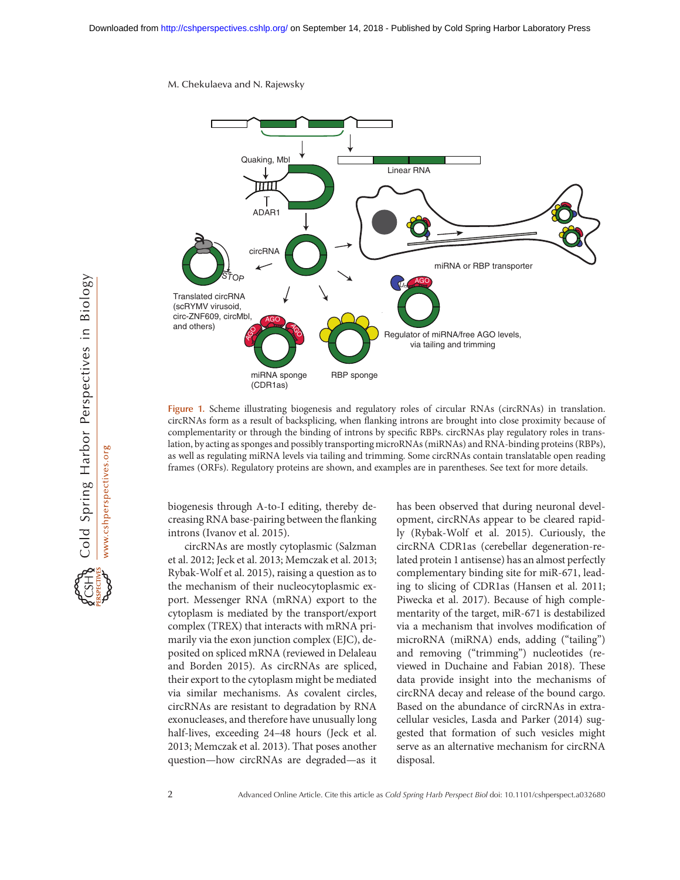

Figure 1. Scheme illustrating biogenesis and regulatory roles of circular RNAs (circRNAs) in translation. circRNAs form as a result of backsplicing, when flanking introns are brought into close proximity because of complementarity or through the binding of introns by specific RBPs. circRNAs play regulatory roles in translation, by acting as sponges and possibly transporting microRNAs (miRNAs) and RNA-binding proteins (RBPs), as well as regulating miRNA levels via tailing and trimming. Some circRNAs contain translatable open reading frames (ORFs). Regulatory proteins are shown, and examples are in parentheses. See text for more details.

biogenesis through A-to-I editing, thereby decreasing RNA base-pairing between the flanking introns (Ivanov et al. 2015).

circRNAs are mostly cytoplasmic (Salzman et al. 2012; Jeck et al. 2013; Memczak et al. 2013; Rybak-Wolf et al. 2015), raising a question as to the mechanism of their nucleocytoplasmic export. Messenger RNA (mRNA) export to the cytoplasm is mediated by the transport/export complex (TREX) that interacts with mRNA primarily via the exon junction complex (EJC), deposited on spliced mRNA (reviewed in Delaleau and Borden 2015). As circRNAs are spliced, their export to the cytoplasm might be mediated via similar mechanisms. As covalent circles, circRNAs are resistant to degradation by RNA exonucleases, and therefore have unusually long half-lives, exceeding 24–48 hours (Jeck et al. 2013; Memczak et al. 2013). That poses another question—how circRNAs are degraded—as it has been observed that during neuronal development, circRNAs appear to be cleared rapidly (Rybak-Wolf et al. 2015). Curiously, the circRNA CDR1as (cerebellar degeneration-related protein 1 antisense) has an almost perfectly complementary binding site for miR-671, leading to slicing of CDR1as (Hansen et al. 2011; Piwecka et al. 2017). Because of high complementarity of the target, miR-671 is destabilized via a mechanism that involves modification of microRNA (miRNA) ends, adding ("tailing") and removing ("trimming") nucleotides (reviewed in Duchaine and Fabian 2018). These data provide insight into the mechanisms of circRNA decay and release of the bound cargo. Based on the abundance of circRNAs in extracellular vesicles, Lasda and Parker (2014) suggested that formation of such vesicles might serve as an alternative mechanism for circRNA disposal.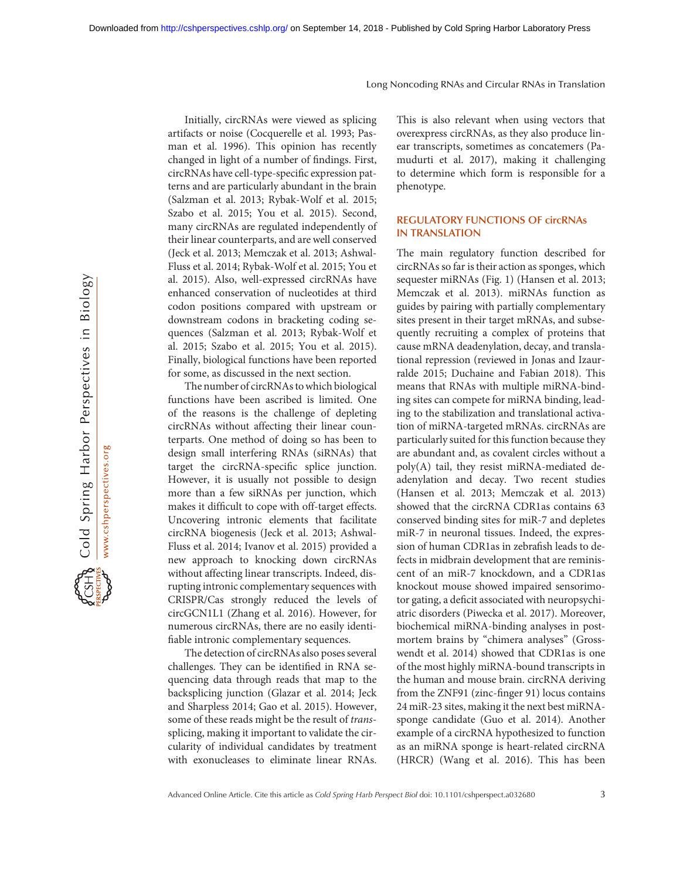Cold Spring Harbor Perspectives in Biology www.cshperspectives.org

Initially, circRNAs were viewed as splicing artifacts or noise (Cocquerelle et al. 1993; Pasman et al. 1996). This opinion has recently changed in light of a number of findings. First, circRNAs have cell-type-specific expression patterns and are particularly abundant in the brain (Salzman et al. 2013; Rybak-Wolf et al. 2015; Szabo et al. 2015; You et al. 2015). Second, many circRNAs are regulated independently of their linear counterparts, and are well conserved (Jeck et al. 2013; Memczak et al. 2013; Ashwal-Fluss et al. 2014; Rybak-Wolf et al. 2015; You et al. 2015). Also, well-expressed circRNAs have enhanced conservation of nucleotides at third codon positions compared with upstream or downstream codons in bracketing coding sequences (Salzman et al. 2013; Rybak-Wolf et al. 2015; Szabo et al. 2015; You et al. 2015). Finally, biological functions have been reported for some, as discussed in the next section.

The number of circRNAs to which biological functions have been ascribed is limited. One of the reasons is the challenge of depleting circRNAs without affecting their linear counterparts. One method of doing so has been to design small interfering RNAs (siRNAs) that target the circRNA-specific splice junction. However, it is usually not possible to design more than a few siRNAs per junction, which makes it difficult to cope with off-target effects. Uncovering intronic elements that facilitate circRNA biogenesis (Jeck et al. 2013; Ashwal-Fluss et al. 2014; Ivanov et al. 2015) provided a new approach to knocking down circRNAs without affecting linear transcripts. Indeed, disrupting intronic complementary sequences with CRISPR/Cas strongly reduced the levels of circGCN1L1 (Zhang et al. 2016). However, for numerous circRNAs, there are no easily identifiable intronic complementary sequences.

The detection of circRNAs also poses several challenges. They can be identified in RNA sequencing data through reads that map to the backsplicing junction (Glazar et al. 2014; Jeck and Sharpless 2014; Gao et al. 2015). However, some of these reads might be the result of transsplicing, making it important to validate the circularity of individual candidates by treatment with exonucleases to eliminate linear RNAs.

This is also relevant when using vectors that overexpress circRNAs, as they also produce linear transcripts, sometimes as concatemers (Pamudurti et al. 2017), making it challenging to determine which form is responsible for a phenotype.

## REGULATORY FUNCTIONS OF circRNAs IN TRANSLATION

The main regulatory function described for circRNAs so far is their action as sponges, which sequester miRNAs (Fig. 1) (Hansen et al. 2013; Memczak et al. 2013). miRNAs function as guides by pairing with partially complementary sites present in their target mRNAs, and subsequently recruiting a complex of proteins that cause mRNA deadenylation, decay, and translational repression (reviewed in Jonas and Izaurralde 2015; Duchaine and Fabian 2018). This means that RNAs with multiple miRNA-binding sites can compete for miRNA binding, leading to the stabilization and translational activation of miRNA-targeted mRNAs. circRNAs are particularly suited for this function because they are abundant and, as covalent circles without a poly(A) tail, they resist miRNA-mediated deadenylation and decay. Two recent studies (Hansen et al. 2013; Memczak et al. 2013) showed that the circRNA CDR1as contains 63 conserved binding sites for miR-7 and depletes miR-7 in neuronal tissues. Indeed, the expression of human CDR1as in zebrafish leads to defects in midbrain development that are reminiscent of an miR-7 knockdown, and a CDR1as knockout mouse showed impaired sensorimotor gating, a deficit associated with neuropsychiatric disorders (Piwecka et al. 2017). Moreover, biochemical miRNA-binding analyses in postmortem brains by "chimera analyses" (Grosswendt et al. 2014) showed that CDR1as is one of the most highly miRNA-bound transcripts in the human and mouse brain. circRNA deriving from the ZNF91 (zinc-finger 91) locus contains 24 miR-23 sites, making it the next best miRNAsponge candidate (Guo et al. 2014). Another example of a circRNA hypothesized to function as an miRNA sponge is heart-related circRNA (HRCR) (Wang et al. 2016). This has been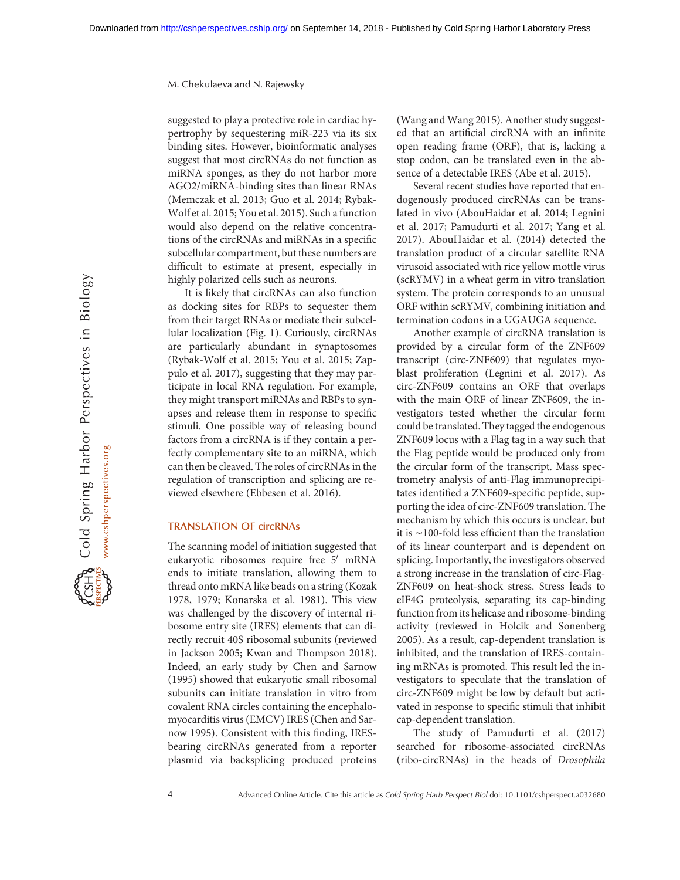suggested to play a protective role in cardiac hypertrophy by sequestering miR-223 via its six binding sites. However, bioinformatic analyses suggest that most circRNAs do not function as miRNA sponges, as they do not harbor more AGO2/miRNA-binding sites than linear RNAs (Memczak et al. 2013; Guo et al. 2014; Rybak-Wolf et al. 2015; You et al. 2015). Such afunction would also depend on the relative concentrations of the circRNAs and miRNAs in a specific subcellular compartment, but these numbers are difficult to estimate at present, especially in highly polarized cells such as neurons.

It is likely that circRNAs can also function as docking sites for RBPs to sequester them from their target RNAs or mediate their subcellular localization (Fig. 1). Curiously, circRNAs are particularly abundant in synaptosomes (Rybak-Wolf et al. 2015; You et al. 2015; Zappulo et al. 2017), suggesting that they may participate in local RNA regulation. For example, they might transport miRNAs and RBPs to synapses and release them in response to specific stimuli. One possible way of releasing bound factors from a circRNA is if they contain a perfectly complementary site to an miRNA, which can then be cleaved. The roles of circRNAs in the regulation of transcription and splicing are reviewed elsewhere (Ebbesen et al. 2016).

## TRANSLATION OF circRNAs

The scanning model of initiation suggested that eukaryotic ribosomes require free  $5'$  mRNA ends to initiate translation, allowing them to thread onto mRNA like beads on a string (Kozak 1978, 1979; Konarska et al. 1981). This view was challenged by the discovery of internal ribosome entry site (IRES) elements that can directly recruit 40S ribosomal subunits (reviewed in Jackson 2005; Kwan and Thompson 2018). Indeed, an early study by Chen and Sarnow (1995) showed that eukaryotic small ribosomal subunits can initiate translation in vitro from covalent RNA circles containing the encephalomyocarditis virus (EMCV) IRES (Chen and Sarnow 1995). Consistent with this finding, IRESbearing circRNAs generated from a reporter plasmid via backsplicing produced proteins (Wang and Wang 2015). Another study suggested that an artificial circRNA with an infinite open reading frame (ORF), that is, lacking a stop codon, can be translated even in the absence of a detectable IRES (Abe et al. 2015).

Several recent studies have reported that endogenously produced circRNAs can be translated in vivo (AbouHaidar et al. 2014; Legnini et al. 2017; Pamudurti et al. 2017; Yang et al. 2017). AbouHaidar et al. (2014) detected the translation product of a circular satellite RNA virusoid associated with rice yellow mottle virus (scRYMV) in a wheat germ in vitro translation system. The protein corresponds to an unusual ORF within scRYMV, combining initiation and termination codons in a UGAUGA sequence.

Another example of circRNA translation is provided by a circular form of the ZNF609 transcript (circ-ZNF609) that regulates myoblast proliferation (Legnini et al. 2017). As circ-ZNF609 contains an ORF that overlaps with the main ORF of linear ZNF609, the investigators tested whether the circular form could be translated. They tagged the endogenous ZNF609 locus with a Flag tag in a way such that the Flag peptide would be produced only from the circular form of the transcript. Mass spectrometry analysis of anti-Flag immunoprecipitates identified a ZNF609-specific peptide, supporting the idea of circ-ZNF609 translation. The mechanism by which this occurs is unclear, but it is ∼100-fold less efficient than the translation of its linear counterpart and is dependent on splicing. Importantly, the investigators observed a strong increase in the translation of circ-Flag-ZNF609 on heat-shock stress. Stress leads to eIF4G proteolysis, separating its cap-binding function from its helicase and ribosome-binding activity (reviewed in Holcik and Sonenberg 2005). As a result, cap-dependent translation is inhibited, and the translation of IRES-containing mRNAs is promoted. This result led the investigators to speculate that the translation of circ-ZNF609 might be low by default but activated in response to specific stimuli that inhibit cap-dependent translation.

The study of Pamudurti et al. (2017) searched for ribosome-associated circRNAs (ribo-circRNAs) in the heads of Drosophila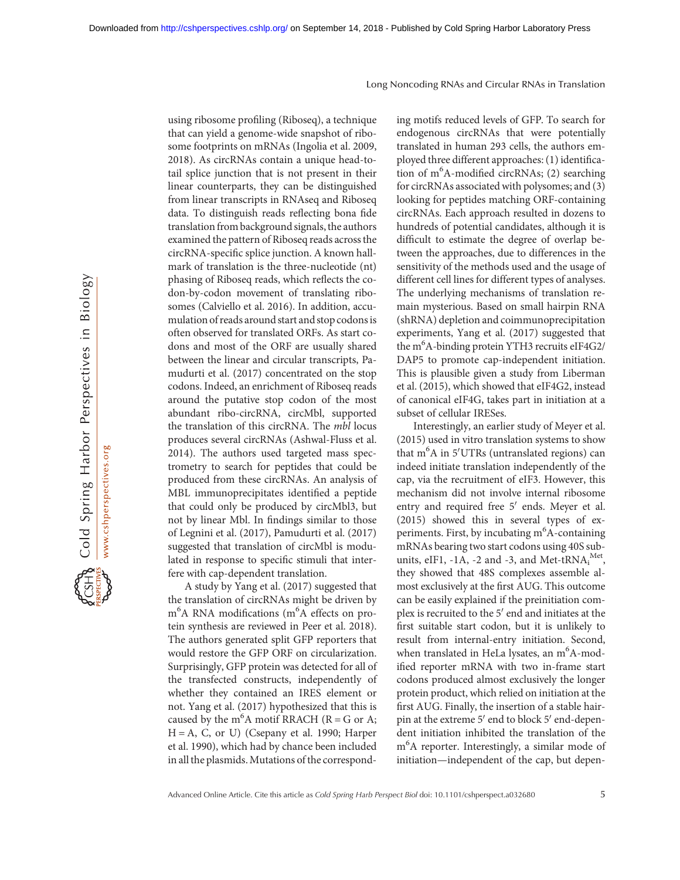Cold Spring Harbor Perspectives in Biology www.cshperspectives.org using ribosome profiling (Riboseq), a technique that can yield a genome-wide snapshot of ribosome footprints on mRNAs (Ingolia et al. 2009, 2018). As circRNAs contain a unique head-totail splice junction that is not present in their linear counterparts, they can be distinguished from linear transcripts in RNAseq and Riboseq data. To distinguish reads reflecting bona fide translation from background signals, the authors examined the pattern of Riboseq reads across the circRNA-specific splice junction. A known hallmark of translation is the three-nucleotide (nt) phasing of Riboseq reads, which reflects the codon-by-codon movement of translating ribosomes (Calviello et al. 2016). In addition, accumulation of reads around start and stop codons is often observed for translated ORFs. As start codons and most of the ORF are usually shared between the linear and circular transcripts, Pamudurti et al. (2017) concentrated on the stop codons. Indeed, an enrichment of Riboseq reads around the putative stop codon of the most abundant ribo-circRNA, circMbl, supported the translation of this circRNA. The mbl locus produces several circRNAs (Ashwal-Fluss et al. 2014). The authors used targeted mass spectrometry to search for peptides that could be produced from these circRNAs. An analysis of MBL immunoprecipitates identified a peptide that could only be produced by circMbl3, but not by linear Mbl. In findings similar to those of Legnini et al. (2017), Pamudurti et al. (2017) suggested that translation of circMbl is modulated in response to specific stimuli that interfere with cap-dependent translation.

A study by Yang et al. (2017) suggested that the translation of circRNAs might be driven by m<sup>6</sup>A RNA modifications (m<sup>6</sup>A effects on protein synthesis are reviewed in Peer et al. 2018). The authors generated split GFP reporters that would restore the GFP ORF on circularization. Surprisingly, GFP protein was detected for all of the transfected constructs, independently of whether they contained an IRES element or not. Yang et al. (2017) hypothesized that this is caused by the  $m<sup>6</sup>A$  motif RRACH (R = G or A; H = A, C, or U) (Csepany et al. 1990; Harper et al. 1990), which had by chance been included in all the plasmids. Mutations of the corresponding motifs reduced levels of GFP. To search for endogenous circRNAs that were potentially translated in human 293 cells, the authors employed three different approaches: (1) identification of m<sup>6</sup> A-modified circRNAs; (2) searching for circRNAs associated with polysomes; and (3) looking for peptides matching ORF-containing circRNAs. Each approach resulted in dozens to hundreds of potential candidates, although it is difficult to estimate the degree of overlap between the approaches, due to differences in the sensitivity of the methods used and the usage of different cell lines for different types of analyses. The underlying mechanisms of translation remain mysterious. Based on small hairpin RNA (shRNA) depletion and coimmunoprecipitation experiments, Yang et al. (2017) suggested that the m6 A-binding protein YTH3 recruits eIF4G2/ DAP5 to promote cap-independent initiation. This is plausible given a study from Liberman et al. (2015), which showed that eIF4G2, instead of canonical eIF4G, takes part in initiation at a subset of cellular IRESes.

Interestingly, an earlier study of Meyer et al. (2015) used in vitro translation systems to show that m<sup>6</sup>A in 5'UTRs (untranslated regions) can indeed initiate translation independently of the cap, via the recruitment of eIF3. However, this mechanism did not involve internal ribosome entry and required free 5' ends. Meyer et al. (2015) showed this in several types of experiments. First, by incubating m<sup>6</sup>A-containing mRNAs bearing two start codons using 40S subunits, eIF1,  $-1\overline{A}$ ,  $-2$  and  $-3$ , and Met-tRN $A_i^{Met}$ , they showed that 48S complexes assemble almost exclusively at the first AUG. This outcome can be easily explained if the preinitiation complex is recruited to the  $5'$  end and initiates at the first suitable start codon, but it is unlikely to result from internal-entry initiation. Second, when translated in HeLa lysates, an m<sup>6</sup>A-modified reporter mRNA with two in-frame start codons produced almost exclusively the longer protein product, which relied on initiation at the first AUG. Finally, the insertion of a stable hairpin at the extreme  $5'$  end to block  $5'$  end-dependent initiation inhibited the translation of the m6 A reporter. Interestingly, a similar mode of initiation—independent of the cap, but depen-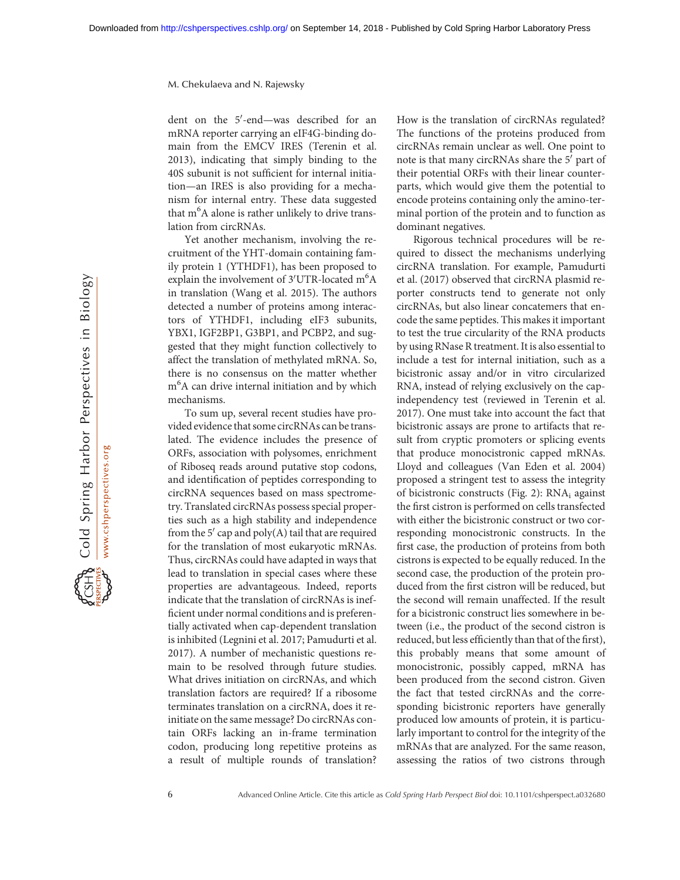dent on the 5'-end- was described for an mRNA reporter carrying an eIF4G-binding domain from the EMCV IRES (Terenin et al. 2013), indicating that simply binding to the 40S subunit is not sufficient for internal initiation—an IRES is also providing for a mechanism for internal entry. These data suggested that m<sup>6</sup>A alone is rather unlikely to drive translation from circRNAs.

Yet another mechanism, involving the recruitment of the YHT-domain containing family protein 1 (YTHDF1), has been proposed to explain the involvement of 3'UTR-located m<sup>6</sup>A in translation (Wang et al. 2015). The authors detected a number of proteins among interactors of YTHDF1, including eIF3 subunits, YBX1, IGF2BP1, G3BP1, and PCBP2, and suggested that they might function collectively to affect the translation of methylated mRNA. So, there is no consensus on the matter whether m<sup>6</sup>A can drive internal initiation and by which mechanisms.

To sum up, several recent studies have provided evidence that some circRNAs can be translated. The evidence includes the presence of ORFs, association with polysomes, enrichment of Riboseq reads around putative stop codons, and identification of peptides corresponding to circRNA sequences based on mass spectrometry. Translated circRNAs possess special properties such as a high stability and independence from the 5' cap and poly(A) tail that are required for the translation of most eukaryotic mRNAs. Thus, circRNAs could have adapted in ways that lead to translation in special cases where these properties are advantageous. Indeed, reports indicate that the translation of circRNAs is inefficient under normal conditions and is preferentially activated when cap-dependent translation is inhibited (Legnini et al. 2017; Pamudurti et al. 2017). A number of mechanistic questions remain to be resolved through future studies. What drives initiation on circRNAs, and which translation factors are required? If a ribosome terminates translation on a circRNA, does it reinitiate on the same message? Do circRNAs contain ORFs lacking an in-frame termination codon, producing long repetitive proteins as a result of multiple rounds of translation?

How is the translation of circRNAs regulated? The functions of the proteins produced from circRNAs remain unclear as well. One point to note is that many circRNAs share the 5' part of their potential ORFs with their linear counterparts, which would give them the potential to encode proteins containing only the amino-terminal portion of the protein and to function as dominant negatives.

Rigorous technical procedures will be required to dissect the mechanisms underlying circRNA translation. For example, Pamudurti et al. (2017) observed that circRNA plasmid reporter constructs tend to generate not only circRNAs, but also linear concatemers that encode the same peptides. This makes it important to test the true circularity of the RNA products by using RNase R treatment. It is also essential to include a test for internal initiation, such as a bicistronic assay and/or in vitro circularized RNA, instead of relying exclusively on the capindependency test (reviewed in Terenin et al. 2017). One must take into account the fact that bicistronic assays are prone to artifacts that result from cryptic promoters or splicing events that produce monocistronic capped mRNAs. Lloyd and colleagues (Van Eden et al. 2004) proposed a stringent test to assess the integrity of bicistronic constructs (Fig. 2): RNA<sub>i</sub> against the first cistron is performed on cells transfected with either the bicistronic construct or two corresponding monocistronic constructs. In the first case, the production of proteins from both cistrons is expected to be equally reduced. In the second case, the production of the protein produced from the first cistron will be reduced, but the second will remain unaffected. If the result for a bicistronic construct lies somewhere in between (i.e., the product of the second cistron is reduced, but less efficiently than that of the first), this probably means that some amount of monocistronic, possibly capped, mRNA has been produced from the second cistron. Given the fact that tested circRNAs and the corresponding bicistronic reporters have generally produced low amounts of protein, it is particularly important to control for the integrity of the mRNAs that are analyzed. For the same reason, assessing the ratios of two cistrons through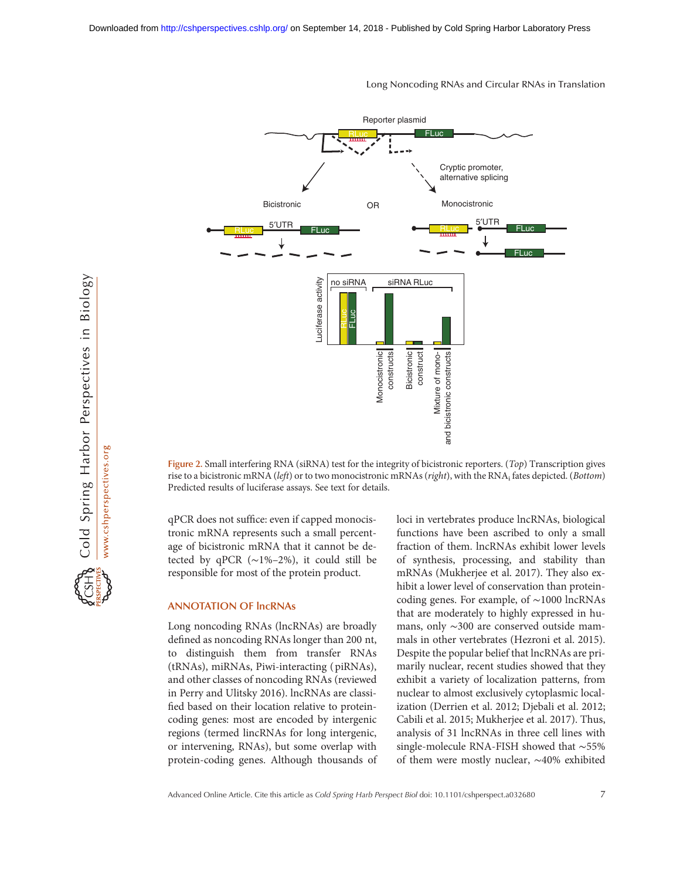

Figure 2. Small interfering RNA (siRNA) test for the integrity of bicistronic reporters. (Top) Transcription gives rise to a bicistronic mRNA (left) or to two monocistronic mRNAs (right), with the RNA<sub>i</sub> fates depicted. (Bottom) Predicted results of luciferase assays. See text for details.

qPCR does not suffice: even if capped monocistronic mRNA represents such a small percentage of bicistronic mRNA that it cannot be detected by qPCR  $(\sim 1\% - 2\%)$ , it could still be responsible for most of the protein product.

#### ANNOTATION OF lncRNAs

Long noncoding RNAs (lncRNAs) are broadly defined as noncoding RNAs longer than 200 nt, to distinguish them from transfer RNAs (tRNAs), miRNAs, Piwi-interacting ( piRNAs), and other classes of noncoding RNAs (reviewed in Perry and Ulitsky 2016). lncRNAs are classified based on their location relative to proteincoding genes: most are encoded by intergenic regions (termed lincRNAs for long intergenic, or intervening, RNAs), but some overlap with protein-coding genes. Although thousands of loci in vertebrates produce lncRNAs, biological functions have been ascribed to only a small fraction of them. lncRNAs exhibit lower levels of synthesis, processing, and stability than mRNAs (Mukherjee et al. 2017). They also exhibit a lower level of conservation than proteincoding genes. For example, of ∼1000 lncRNAs that are moderately to highly expressed in humans, only ∼300 are conserved outside mammals in other vertebrates (Hezroni et al. 2015). Despite the popular belief that lncRNAs are primarily nuclear, recent studies showed that they exhibit a variety of localization patterns, from nuclear to almost exclusively cytoplasmic localization (Derrien et al. 2012; Djebali et al. 2012; Cabili et al. 2015; Mukherjee et al. 2017). Thus, analysis of 31 lncRNAs in three cell lines with single-molecule RNA-FISH showed that ∼55% of the most constrained be them were mostly nuclear,  $\frac{3}{2}$  of them were mostly and  $\frac{3}{2}$  of  $\frac{3}{2}$   $\frac{3}{2}$   $\frac{3}{2}$   $\frac{3}{2}$   $\frac{3}{2}$   $\frac{3}{2}$   $\frac{3}{2}$   $\frac{3}{2}$   $\frac{3}{2}$   $\frac{3}{2}$   $\frac{3}{2}$   $\frac{3}{2}$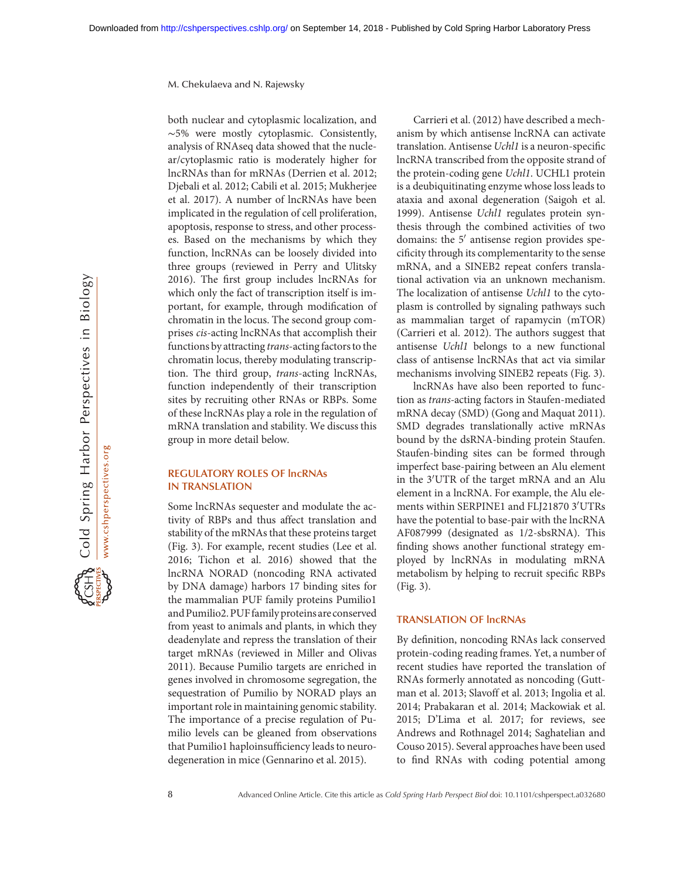both nuclear and cytoplasmic localization, and ∼5% were mostly cytoplasmic. Consistently, analysis of RNAseq data showed that the nuclear/cytoplasmic ratio is moderately higher for lncRNAs than for mRNAs (Derrien et al. 2012; Djebali et al. 2012; Cabili et al. 2015; Mukherjee et al. 2017). A number of lncRNAs have been implicated in the regulation of cell proliferation, apoptosis, response to stress, and other processes. Based on the mechanisms by which they function, lncRNAs can be loosely divided into three groups (reviewed in Perry and Ulitsky 2016). The first group includes lncRNAs for which only the fact of transcription itself is important, for example, through modification of chromatin in the locus. The second group comprises cis-acting lncRNAs that accomplish their functions by attracting trans-acting factors to the chromatin locus, thereby modulating transcription. The third group, trans-acting lncRNAs, function independently of their transcription sites by recruiting other RNAs or RBPs. Some of these lncRNAs play a role in the regulation of mRNA translation and stability. We discuss this group in more detail below.

### REGULATORY ROLES OF lncRNAs IN TRANSLATION

Some lncRNAs sequester and modulate the activity of RBPs and thus affect translation and stability of the mRNAs that these proteins target (Fig. 3). For example, recent studies (Lee et al. 2016; Tichon et al. 2016) showed that the lncRNA NORAD (noncoding RNA activated by DNA damage) harbors 17 binding sites for the mammalian PUF family proteins Pumilio1 and Pumilio2. PUF family proteins are conserved from yeast to animals and plants, in which they deadenylate and repress the translation of their target mRNAs (reviewed in Miller and Olivas 2011). Because Pumilio targets are enriched in genes involved in chromosome segregation, the sequestration of Pumilio by NORAD plays an important role in maintaining genomic stability. The importance of a precise regulation of Pumilio levels can be gleaned from observations that Pumilio1 haploinsufficiency leads to neurodegeneration in mice (Gennarino et al. 2015).

Carrieri et al. (2012) have described a mechanism by which antisense lncRNA can activate translation. Antisense Uchl1 is a neuron-specific lncRNA transcribed from the opposite strand of the protein-coding gene Uchl1. UCHL1 protein is a deubiquitinating enzyme whose loss leads to ataxia and axonal degeneration (Saigoh et al. 1999). Antisense Uchl1 regulates protein synthesis through the combined activities of two domains: the  $5'$  antisense region provides specificity through its complementarity to the sense mRNA, and a SINEB2 repeat confers translational activation via an unknown mechanism. The localization of antisense Uchl1 to the cytoplasm is controlled by signaling pathways such as mammalian target of rapamycin (mTOR) (Carrieri et al. 2012). The authors suggest that antisense Uchl1 belongs to a new functional class of antisense lncRNAs that act via similar mechanisms involving SINEB2 repeats (Fig. 3).

lncRNAs have also been reported to function as trans-acting factors in Staufen-mediated mRNA decay (SMD) (Gong and Maquat 2011). SMD degrades translationally active mRNAs bound by the dsRNA-binding protein Staufen. Staufen-binding sites can be formed through imperfect base-pairing between an Alu element in the 3'UTR of the target mRNA and an Alu element in a lncRNA. For example, the Alu elements within SERPINE1 and FLJ21870 3<sup>'</sup>UTRs have the potential to base-pair with the lncRNA AF087999 (designated as 1/2-sbsRNA). This finding shows another functional strategy employed by lncRNAs in modulating mRNA metabolism by helping to recruit specific RBPs (Fig. 3).

## TRANSLATION OF lncRNAs

By definition, noncoding RNAs lack conserved protein-coding reading frames. Yet, a number of recent studies have reported the translation of RNAs formerly annotated as noncoding (Guttman et al. 2013; Slavoff et al. 2013; Ingolia et al. 2014; Prabakaran et al. 2014; Mackowiak et al. 2015; D'Lima et al. 2017; for reviews, see Andrews and Rothnagel 2014; Saghatelian and Couso 2015). Several approaches have been used to find RNAs with coding potential among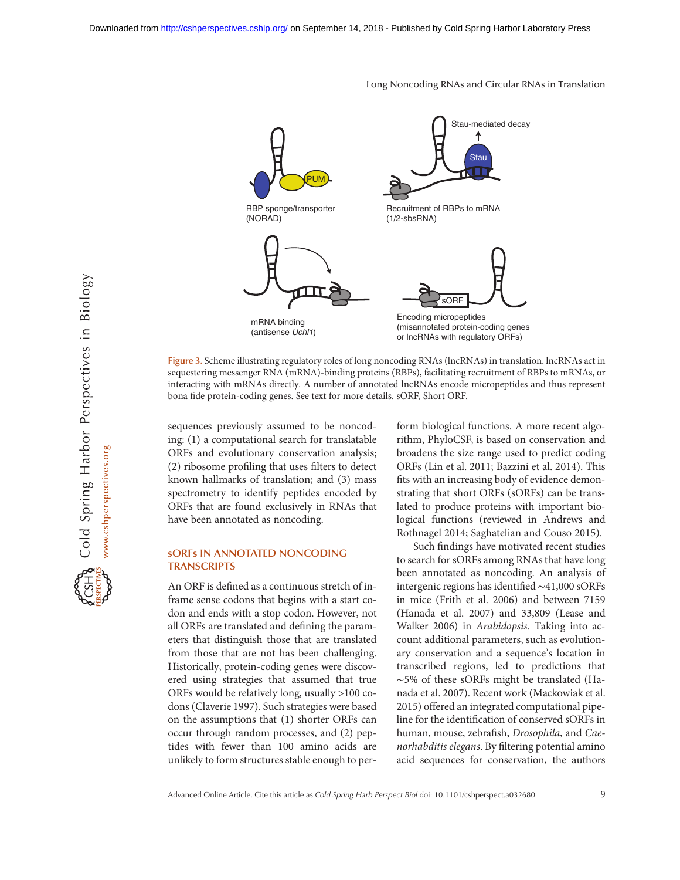Stau-mediated decay ↑ **Stau** PUM RBP sponge/transporter Recruitment of RBPs to mRNA (NORAD) (1/2-sbsRNA) sORF Encoding micropeptides mRNA binding (misannotated protein-coding genes (antisense *Uchl1*) or lncRNAs with regulatory ORFs)

Figure 3. Scheme illustrating regulatory roles of long noncoding RNAs (lncRNAs) in translation. lncRNAs act in sequestering messenger RNA (mRNA)-binding proteins (RBPs), facilitating recruitment of RBPs to mRNAs, or interacting with mRNAs directly. A number of annotated lncRNAs encode micropeptides and thus represent bona fide protein-coding genes. See text for more details. sORF, Short ORF.

sequences previously assumed to be noncoding: (1) a computational search for translatable ORFs and evolutionary conservation analysis; (2) ribosome profiling that uses filters to detect known hallmarks of translation; and (3) mass spectrometry to identify peptides encoded by ORFs that are found exclusively in RNAs that have been annotated as noncoding.

## sORFs IN ANNOTATED NONCODING **TRANSCRIPTS**

An ORF is defined as a continuous stretch of inframe sense codons that begins with a start codon and ends with a stop codon. However, not all ORFs are translated and defining the parameters that distinguish those that are translated from those that are not has been challenging. Historically, protein-coding genes were discovered using strategies that assumed that true ORFs would be relatively long, usually >100 codons (Claverie 1997). Such strategies were based on the assumptions that (1) shorter ORFs can occur through random processes, and (2) peptides with fewer than 100 amino acids are unlikely to form structures stable enough to perform biological functions. A more recent algorithm, PhyloCSF, is based on conservation and broadens the size range used to predict coding ORFs (Lin et al. 2011; Bazzini et al. 2014). This fits with an increasing body of evidence demonstrating that short ORFs (sORFs) can be translated to produce proteins with important biological functions (reviewed in Andrews and Rothnagel 2014; Saghatelian and Couso 2015).

Such findings have motivated recent studies to search for sORFs among RNAs that have long been annotated as noncoding. An analysis of intergenic regions has identified ∼41,000 sORFs in mice (Frith et al. 2006) and between 7159 (Hanada et al. 2007) and 33,809 (Lease and Walker 2006) in Arabidopsis. Taking into account additional parameters, such as evolutionary conservation and a sequence's location in transcribed regions, led to predictions that ∼5% of these sORFs might be translated (Hanada et al. 2007). Recent work (Mackowiak et al. 2015) offered an integrated computational pipeline for the identification of conserved sORFs in human, mouse, zebrafish, Drosophila, and Caenorhabditis elegans. By filtering potential amino acid sequences for conservation, the authors

#### Long Noncoding RNAs and Circular RNAs in Translation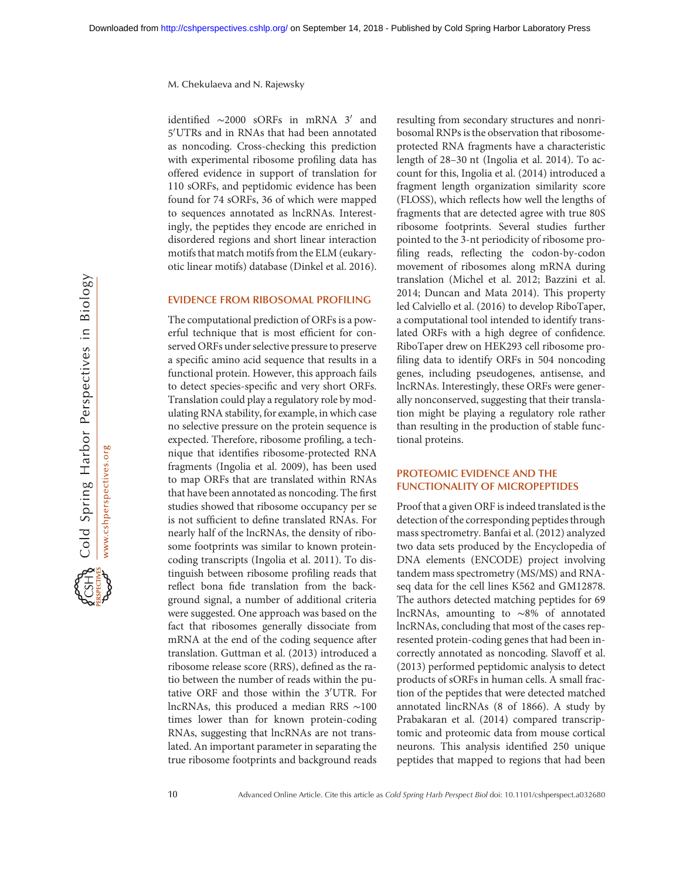identified  $\sim$ 2000 sORFs in mRNA 3' and 5'UTRs and in RNAs that had been annotated as noncoding. Cross-checking this prediction with experimental ribosome profiling data has offered evidence in support of translation for 110 sORFs, and peptidomic evidence has been found for 74 sORFs, 36 of which were mapped to sequences annotated as lncRNAs. Interestingly, the peptides they encode are enriched in disordered regions and short linear interaction motifs that match motifs from the ELM (eukaryotic linear motifs) database (Dinkel et al. 2016).

## EVIDENCE FROM RIBOSOMAL PROFILING

The computational prediction of ORFs is a powerful technique that is most efficient for conserved ORFs under selective pressure to preserve a specific amino acid sequence that results in a functional protein. However, this approach fails to detect species-specific and very short ORFs. Translation could play a regulatory role by modulating RNA stability, for example, in which case no selective pressure on the protein sequence is expected. Therefore, ribosome profiling, a technique that identifies ribosome-protected RNA fragments (Ingolia et al. 2009), has been used to map ORFs that are translated within RNAs that have been annotated as noncoding. The first studies showed that ribosome occupancy per se is not sufficient to define translated RNAs. For nearly half of the lncRNAs, the density of ribosome footprints was similar to known proteincoding transcripts (Ingolia et al. 2011). To distinguish between ribosome profiling reads that reflect bona fide translation from the background signal, a number of additional criteria were suggested. One approach was based on the fact that ribosomes generally dissociate from mRNA at the end of the coding sequence after translation. Guttman et al. (2013) introduced a ribosome release score (RRS), defined as the ratio between the number of reads within the putative ORF and those within the  $3'UTR$ . For lncRNAs, this produced a median RRS ∼100 times lower than for known protein-coding RNAs, suggesting that lncRNAs are not translated. An important parameter in separating the true ribosome footprints and background reads

resulting from secondary structures and nonribosomal RNPs is the observation that ribosomeprotected RNA fragments have a characteristic length of 28–30 nt (Ingolia et al. 2014). To account for this, Ingolia et al. (2014) introduced a fragment length organization similarity score (FLOSS), which reflects how well the lengths of fragments that are detected agree with true 80S ribosome footprints. Several studies further pointed to the 3-nt periodicity of ribosome profiling reads, reflecting the codon-by-codon movement of ribosomes along mRNA during translation (Michel et al. 2012; Bazzini et al. 2014; Duncan and Mata 2014). This property led Calviello et al. (2016) to develop RiboTaper, a computational tool intended to identify translated ORFs with a high degree of confidence. RiboTaper drew on HEK293 cell ribosome profiling data to identify ORFs in 504 noncoding genes, including pseudogenes, antisense, and lncRNAs. Interestingly, these ORFs were generally nonconserved, suggesting that their translation might be playing a regulatory role rather than resulting in the production of stable functional proteins.

## PROTEOMIC EVIDENCE AND THE FUNCTIONALITY OF MICROPEPTIDES

Proof that a given ORF is indeed translated is the detection of the corresponding peptides through mass spectrometry. Banfai et al. (2012) analyzed two data sets produced by the Encyclopedia of DNA elements (ENCODE) project involving tandem mass spectrometry (MS/MS) and RNAseq data for the cell lines K562 and GM12878. The authors detected matching peptides for 69 lncRNAs, amounting to ∼8% of annotated lncRNAs, concluding that most of the cases represented protein-coding genes that had been incorrectly annotated as noncoding. Slavoff et al. (2013) performed peptidomic analysis to detect products of sORFs in human cells. A small fraction of the peptides that were detected matched annotated lincRNAs (8 of 1866). A study by Prabakaran et al. (2014) compared transcriptomic and proteomic data from mouse cortical neurons. This analysis identified 250 unique peptides that mapped to regions that had been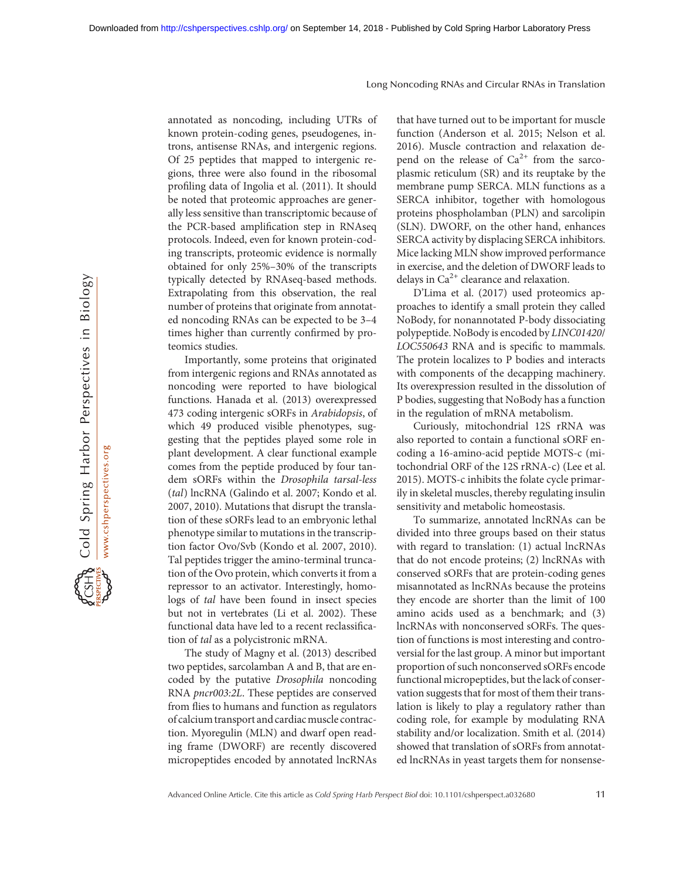annotated as noncoding, including UTRs of known protein-coding genes, pseudogenes, introns, antisense RNAs, and intergenic regions. Of 25 peptides that mapped to intergenic regions, three were also found in the ribosomal profiling data of Ingolia et al. (2011). It should be noted that proteomic approaches are generally less sensitive than transcriptomic because of the PCR-based amplification step in RNAseq protocols. Indeed, even for known protein-coding transcripts, proteomic evidence is normally obtained for only 25%–30% of the transcripts typically detected by RNAseq-based methods. Extrapolating from this observation, the real number of proteins that originate from annotated noncoding RNAs can be expected to be 3–4 times higher than currently confirmed by proteomics studies.

Importantly, some proteins that originated from intergenic regions and RNAs annotated as noncoding were reported to have biological functions. Hanada et al. (2013) overexpressed 473 coding intergenic sORFs in Arabidopsis, of which 49 produced visible phenotypes, suggesting that the peptides played some role in plant development. A clear functional example comes from the peptide produced by four tandem sORFs within the Drosophila tarsal-less (tal) lncRNA (Galindo et al. 2007; Kondo et al. 2007, 2010). Mutations that disrupt the translation of these sORFs lead to an embryonic lethal phenotype similar to mutations in the transcription factor Ovo/Svb (Kondo et al. 2007, 2010). Tal peptides trigger the amino-terminal truncation of the Ovo protein, which converts it from a repressor to an activator. Interestingly, homologs of tal have been found in insect species but not in vertebrates (Li et al. 2002). These functional data have led to a recent reclassification of tal as a polycistronic mRNA.

The study of Magny et al. (2013) described two peptides, sarcolamban A and B, that are encoded by the putative Drosophila noncoding RNA pncr003:2L. These peptides are conserved from flies to humans and function as regulators of calcium transport and cardiac muscle contraction. Myoregulin (MLN) and dwarf open reading frame (DWORF) are recently discovered micropeptides encoded by annotated lncRNAs

that have turned out to be important for muscle function (Anderson et al. 2015; Nelson et al. 2016). Muscle contraction and relaxation depend on the release of  $Ca^{2+}$  from the sarcoplasmic reticulum (SR) and its reuptake by the membrane pump SERCA. MLN functions as a SERCA inhibitor, together with homologous proteins phospholamban (PLN) and sarcolipin (SLN). DWORF, on the other hand, enhances SERCA activity by displacing SERCA inhibitors. Mice lacking MLN show improved performance in exercise, and the deletion of DWORF leads to delays in  $Ca<sup>2+</sup>$  clearance and relaxation.

D'Lima et al. (2017) used proteomics approaches to identify a small protein they called NoBody, for nonannotated P-body dissociating polypeptide. NoBody is encoded by LINC01420/ LOC550643 RNA and is specific to mammals. The protein localizes to P bodies and interacts with components of the decapping machinery. Its overexpression resulted in the dissolution of P bodies, suggesting that NoBody has a function in the regulation of mRNA metabolism.

Curiously, mitochondrial 12S rRNA was also reported to contain a functional sORF encoding a 16-amino-acid peptide MOTS-c (mitochondrial ORF of the 12S rRNA-c) (Lee et al. 2015). MOTS-c inhibits the folate cycle primarily in skeletal muscles, thereby regulating insulin sensitivity and metabolic homeostasis.

To summarize, annotated lncRNAs can be divided into three groups based on their status with regard to translation: (1) actual lncRNAs that do not encode proteins; (2) lncRNAs with conserved sORFs that are protein-coding genes misannotated as lncRNAs because the proteins they encode are shorter than the limit of 100 amino acids used as a benchmark; and (3) lncRNAs with nonconserved sORFs. The question of functions is most interesting and controversial for the last group. A minor but important proportion of such nonconserved sORFs encode functional micropeptides, but the lack of conservation suggests that for most of them their translation is likely to play a regulatory rather than coding role, for example by modulating RNA stability and/or localization. Smith et al. (2014) showed that translation of sORFs from annotated lncRNAs in yeast targets them for nonsense-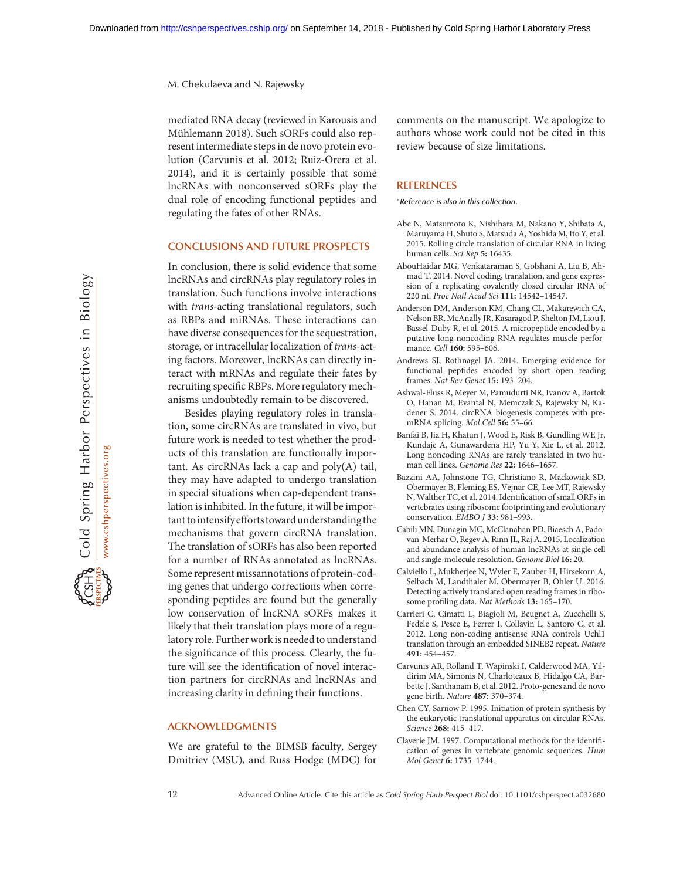mediated RNA decay (reviewed in Karousis and Mühlemann 2018). Such sORFs could also represent intermediate steps in de novo protein evolution (Carvunis et al. 2012; Ruiz-Orera et al. 2014), and it is certainly possible that some lncRNAs with nonconserved sORFs play the dual role of encoding functional peptides and regulating the fates of other RNAs.

## CONCLUSIONS AND FUTURE PROSPECTS

In conclusion, there is solid evidence that some lncRNAs and circRNAs play regulatory roles in translation. Such functions involve interactions with *trans-acting* translational regulators, such as RBPs and miRNAs. These interactions can have diverse consequences for the sequestration, storage, or intracellular localization of trans-acting factors. Moreover, lncRNAs can directly interact with mRNAs and regulate their fates by recruiting specific RBPs. More regulatory mechanisms undoubtedly remain to be discovered.

Besides playing regulatory roles in translation, some circRNAs are translated in vivo, but future work is needed to test whether the products of this translation are functionally important. As circRNAs lack a cap and poly(A) tail, they may have adapted to undergo translation in special situations when cap-dependent translation is inhibited. In the future, it will be important tointensifyefforts toward understanding the mechanisms that govern circRNA translation. The translation of sORFs has also been reported for a number of RNAs annotated as lncRNAs. Some represent missannotations of protein-coding genes that undergo corrections when corresponding peptides are found but the generally low conservation of lncRNA sORFs makes it likely that their translation plays more of a regulatory role. Further work is needed to understand the significance of this process. Clearly, the future will see the identification of novel interaction partners for circRNAs and lncRNAs and increasing clarity in defining their functions.

## ACKNOWLEDGMENTS

We are grateful to the BIMSB faculty, Sergey Dmitriev (MSU), and Russ Hodge (MDC) for comments on the manuscript. We apologize to authors whose work could not be cited in this review because of size limitations.

#### **REFERENCES**

-Reference is also in this collection.

- Abe N, Matsumoto K, Nishihara M, Nakano Y, Shibata A, Maruyama H, Shuto S, Matsuda A, Yoshida M, Ito Y, et al. 2015. Rolling circle translation of circular RNA in living human cells. Sci Rep 5: 16435.
- AbouHaidar MG, Venkataraman S, Golshani A, Liu B, Ahmad T. 2014. Novel coding, translation, and gene expression of a replicating covalently closed circular RNA of 220 nt. Proc Natl Acad Sci 111: 14542–14547.
- Anderson DM, Anderson KM, Chang CL, Makarewich CA, Nelson BR, McAnally JR, Kasaragod P, Shelton JM, Liou J, Bassel-Duby R, et al. 2015. A micropeptide encoded by a putative long noncoding RNA regulates muscle performance. Cell 160: 595–606.
- Andrews SJ, Rothnagel JA. 2014. Emerging evidence for functional peptides encoded by short open reading frames. Nat Rev Genet 15: 193–204.
- Ashwal-Fluss R, Meyer M, Pamudurti NR, Ivanov A, Bartok O, Hanan M, Evantal N, Memczak S, Rajewsky N, Kadener S. 2014. circRNA biogenesis competes with premRNA splicing. Mol Cell 56: 55–66.
- Banfai B, Jia H, Khatun J, Wood E, Risk B, Gundling WE Jr, Kundaje A, Gunawardena HP, Yu Y, Xie L, et al. 2012. Long noncoding RNAs are rarely translated in two human cell lines. Genome Res 22: 1646–1657.
- Bazzini AA, Johnstone TG, Christiano R, Mackowiak SD, Obermayer B, Fleming ES, Vejnar CE, Lee MT, Rajewsky N, Walther TC, et al. 2014. Identification of small ORFs in vertebrates using ribosome footprinting and evolutionary conservation. EMBO J 33: 981–993.
- Cabili MN, Dunagin MC, McClanahan PD, Biaesch A, Padovan-Merhar O, Regev A, Rinn JL, Raj A. 2015. Localization and abundance analysis of human lncRNAs at single-cell and single-molecule resolution. Genome Biol 16: 20.
- Calviello L, Mukherjee N, Wyler E, Zauber H, Hirsekorn A, Selbach M, Landthaler M, Obermayer B, Ohler U. 2016. Detecting actively translated open reading frames in ribosome profiling data. Nat Methods 13: 165–170.
- Carrieri C, Cimatti L, Biagioli M, Beugnet A, Zucchelli S, Fedele S, Pesce E, Ferrer I, Collavin L, Santoro C, et al. 2012. Long non-coding antisense RNA controls Uchl1 translation through an embedded SINEB2 repeat. Nature 491: 454–457.
- Carvunis AR, Rolland T, Wapinski I, Calderwood MA, Yildirim MA, Simonis N, Charloteaux B, Hidalgo CA, Barbette J, Santhanam B, et al. 2012. Proto-genes and de novo gene birth. Nature 487: 370–374.
- Chen CY, Sarnow P. 1995. Initiation of protein synthesis by the eukaryotic translational apparatus on circular RNAs. Science 268: 415–417.
- Claverie JM. 1997. Computational methods for the identification of genes in vertebrate genomic sequences. Hum Mol Genet 6: 1735–1744.

Cold Spring Harbor Perspectives in Biology

www.cshperspectives.org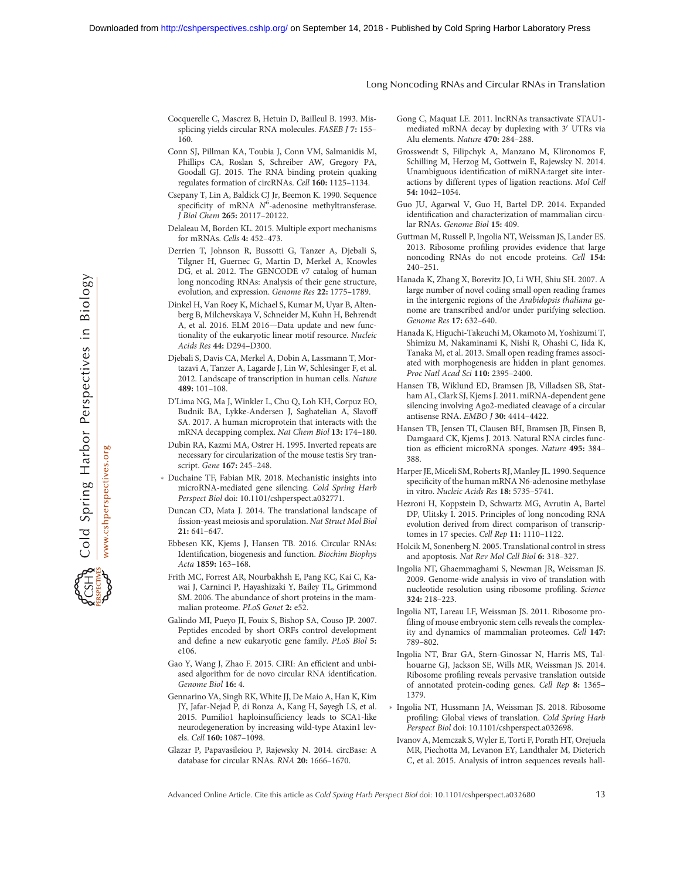- Cocquerelle C, Mascrez B, Hetuin D, Bailleul B. 1993. Missplicing yields circular RNA molecules. FASEB J 7: 155– 160.
- Conn SJ, Pillman KA, Toubia J, Conn VM, Salmanidis M, Phillips CA, Roslan S, Schreiber AW, Gregory PA, Goodall GJ. 2015. The RNA binding protein quaking regulates formation of circRNAs. Cell 160: 1125–1134.
- Csepany T, Lin A, Baldick CJ Jr, Beemon K. 1990. Sequence specificity of mRNA  $N^6$ -adenosine methyltransferase. J Biol Chem 265: 20117–20122.
- Delaleau M, Borden KL. 2015. Multiple export mechanisms for mRNAs. Cells 4: 452–473.
- Derrien T, Johnson R, Bussotti G, Tanzer A, Djebali S, Tilgner H, Guernec G, Martin D, Merkel A, Knowles DG, et al. 2012. The GENCODE v7 catalog of human long noncoding RNAs: Analysis of their gene structure, evolution, and expression. Genome Res 22: 1775–1789.
- Dinkel H, Van Roey K, Michael S, Kumar M, Uyar B, Altenberg B, Milchevskaya V, Schneider M, Kuhn H, Behrendt A, et al. 2016. ELM 2016—Data update and new functionality of the eukaryotic linear motif resource. Nucleic Acids Res 44: D294–D300.
- Djebali S, Davis CA, Merkel A, Dobin A, Lassmann T, Mortazavi A, Tanzer A, Lagarde J, Lin W, Schlesinger F, et al. 2012. Landscape of transcription in human cells. Nature 489: 101–108.
- D'Lima NG, Ma J, Winkler L, Chu Q, Loh KH, Corpuz EO, Budnik BA, Lykke-Andersen J, Saghatelian A, Slavoff SA. 2017. A human microprotein that interacts with the mRNA decapping complex. Nat Chem Biol 13: 174–180.
- Dubin RA, Kazmi MA, Ostrer H. 1995. Inverted repeats are necessary for circularization of the mouse testis Sry transcript. Gene 167: 245–248.
- Duchaine TF, Fabian MR. 2018. Mechanistic insights into microRNA-mediated gene silencing. Cold Spring Harb Perspect Biol doi: 10.1101/cshperspect.a032771.
- Duncan CD, Mata J. 2014. The translational landscape of fission-yeast meiosis and sporulation. Nat Struct Mol Biol 21: 641–647.
- Ebbesen KK, Kjems J, Hansen TB. 2016. Circular RNAs: Identification, biogenesis and function. Biochim Biophys Acta 1859: 163–168.
- Frith MC, Forrest AR, Nourbakhsh E, Pang KC, Kai C, Kawai J, Carninci P, Hayashizaki Y, Bailey TL, Grimmond SM. 2006. The abundance of short proteins in the mammalian proteome. PLoS Genet 2: e52.
- Galindo MI, Pueyo JI, Fouix S, Bishop SA, Couso JP. 2007. Peptides encoded by short ORFs control development and define a new eukaryotic gene family. PLoS Biol 5: e106.
- Gao Y, Wang J, Zhao F. 2015. CIRI: An efficient and unbiased algorithm for de novo circular RNA identification. Genome Biol 16: 4.
- Gennarino VA, Singh RK, White JJ, De Maio A, Han K, Kim JY, Jafar-Nejad P, di Ronza A, Kang H, Sayegh LS, et al. 2015. Pumilio1 haploinsufficiency leads to SCA1-like neurodegeneration by increasing wild-type Ataxin1 levels. Cell 160: 1087–1098.
- Glazar P, Papavasileiou P, Rajewsky N. 2014. circBase: A database for circular RNAs. RNA 20: 1666–1670.
- Gong C, Maquat LE. 2011. lncRNAs transactivate STAU1 mediated mRNA decay by duplexing with 3' UTRs via Alu elements. Nature 470: 284–288.
- Grosswendt S, Filipchyk A, Manzano M, Klironomos F, Schilling M, Herzog M, Gottwein E, Rajewsky N. 2014. Unambiguous identification of miRNA:target site interactions by different types of ligation reactions. Mol Cell 54: 1042–1054.
- Guo JU, Agarwal V, Guo H, Bartel DP. 2014. Expanded identification and characterization of mammalian circular RNAs. Genome Biol 15: 409.
- Guttman M, Russell P, Ingolia NT, Weissman JS, Lander ES. 2013. Ribosome profiling provides evidence that large noncoding RNAs do not encode proteins. Cell 154: 240–251.
- Hanada K, Zhang X, Borevitz JO, Li WH, Shiu SH. 2007. A large number of novel coding small open reading frames in the intergenic regions of the Arabidopsis thaliana genome are transcribed and/or under purifying selection. Genome Res 17: 632–640.
- Hanada K, Higuchi-Takeuchi M, Okamoto M, Yoshizumi T, Shimizu M, Nakaminami K, Nishi R, Ohashi C, Iida K, Tanaka M, et al. 2013. Small open reading frames associated with morphogenesis are hidden in plant genomes. Proc Natl Acad Sci 110: 2395–2400.
- Hansen TB, Wiklund ED, Bramsen JB, Villadsen SB, Statham AL, Clark SJ, Kjems J. 2011. miRNA-dependent gene silencing involving Ago2-mediated cleavage of a circular antisense RNA. EMBO J 30: 4414–4422.
- Hansen TB, Jensen TI, Clausen BH, Bramsen JB, Finsen B, Damgaard CK, Kjems J. 2013. Natural RNA circles function as efficient microRNA sponges. Nature 495: 384– 388.
- Harper JE, Miceli SM, Roberts RJ, Manley JL. 1990. Sequence specificity of the human mRNA N6-adenosine methylase in vitro. Nucleic Acids Res 18: 5735–5741.
- Hezroni H, Koppstein D, Schwartz MG, Avrutin A, Bartel DP, Ulitsky I. 2015. Principles of long noncoding RNA evolution derived from direct comparison of transcriptomes in 17 species. Cell Rep 11: 1110–1122.
- Holcik M, Sonenberg N. 2005. Translational control in stress and apoptosis. Nat Rev Mol Cell Biol 6: 318–327.
- Ingolia NT, Ghaemmaghami S, Newman JR, Weissman JS. 2009. Genome-wide analysis in vivo of translation with nucleotide resolution using ribosome profiling. Science 324: 218–223.
- Ingolia NT, Lareau LF, Weissman JS. 2011. Ribosome profiling of mouse embryonic stem cells reveals the complexity and dynamics of mammalian proteomes. Cell 147: 789–802.
- Ingolia NT, Brar GA, Stern-Ginossar N, Harris MS, Talhouarne GJ, Jackson SE, Wills MR, Weissman JS. 2014. Ribosome profiling reveals pervasive translation outside of annotated protein-coding genes. Cell Rep 8: 1365– 1379.
- Ingolia NT, Hussmann JA, Weissman JS. 2018. Ribosome profiling: Global views of translation. Cold Spring Harb Perspect Biol doi: 10.1101/cshperspect.a032698.
- Ivanov A, Memczak S, Wyler E, Torti F, Porath HT, Orejuela MR, Piechotta M, Levanon EY, Landthaler M, Dieterich C, et al. 2015. Analysis of intron sequences reveals hall-

Advanced Online Article. Cite this article as Cold Spring Harb Perspect Biol doi: 10.1101/cshperspect.a032680 13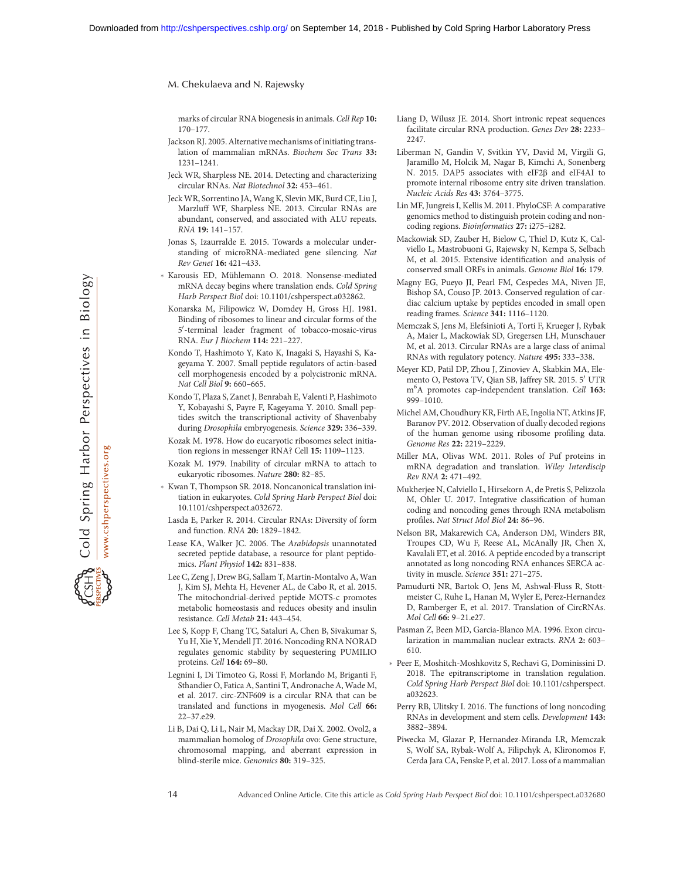marks of circular RNA biogenesis in animals. Cell Rep 10: 170–177.

- Jackson RJ. 2005. Alternative mechanisms of initiating translation of mammalian mRNAs. Biochem Soc Trans 33: 1231–1241.
- Jeck WR, Sharpless NE. 2014. Detecting and characterizing circular RNAs. Nat Biotechnol 32: 453–461.
- Jeck WR, Sorrentino JA, Wang K, Slevin MK, Burd CE, Liu J, Marzluff WF, Sharpless NE. 2013. Circular RNAs are abundant, conserved, and associated with ALU repeats. RNA 19: 141–157.
- Jonas S, Izaurralde E. 2015. Towards a molecular understanding of microRNA-mediated gene silencing. Nat Rev Genet 16: 421–433.
- Karousis ED, Mühlemann O. 2018. Nonsense-mediated mRNA decay begins where translation ends. Cold Spring Harb Perspect Biol doi: 10.1101/cshperspect.a032862.
- Konarska M, Filipowicz W, Domdey H, Gross HJ. 1981. Binding of ribosomes to linear and circular forms of the 5'-terminal leader fragment of tobacco-mosaic-virus RNA. Eur J Biochem 114: 221–227.
- Kondo T, Hashimoto Y, Kato K, Inagaki S, Hayashi S, Kageyama Y. 2007. Small peptide regulators of actin-based cell morphogenesis encoded by a polycistronic mRNA. Nat Cell Biol 9: 660–665.
- Kondo T, Plaza S, Zanet J, Benrabah E, Valenti P, Hashimoto Y, Kobayashi S, Payre F, Kageyama Y. 2010. Small peptides switch the transcriptional activity of Shavenbaby during Drosophila embryogenesis. Science 329: 336–339.
- Kozak M. 1978. How do eucaryotic ribosomes select initiation regions in messenger RNA? Cell 15: 1109–1123.
- Kozak M. 1979. Inability of circular mRNA to attach to eukaryotic ribosomes. Nature 280: 82–85.
- Kwan T, Thompson SR. 2018. Noncanonical translation initiation in eukaryotes. Cold Spring Harb Perspect Biol doi: 10.1101/cshperspect.a032672.
- Lasda E, Parker R. 2014. Circular RNAs: Diversity of form and function. RNA 20: 1829–1842.
- Lease KA, Walker JC. 2006. The Arabidopsis unannotated secreted peptide database, a resource for plant peptidomics. Plant Physiol 142: 831–838.
- Lee C, Zeng J, Drew BG, Sallam T, Martin-Montalvo A, Wan J, Kim SJ, Mehta H, Hevener AL, de Cabo R, et al. 2015. The mitochondrial-derived peptide MOTS-c promotes metabolic homeostasis and reduces obesity and insulin resistance. Cell Metab 21: 443–454.
- Lee S, Kopp F, Chang TC, Sataluri A, Chen B, Sivakumar S, Yu H, Xie Y, Mendell JT. 2016. Noncoding RNA NORAD regulates genomic stability by sequestering PUMILIO proteins. Cell 164: 69–80.
- Legnini I, Di Timoteo G, Rossi F, Morlando M, Briganti F, Sthandier O, Fatica A, Santini T, Andronache A, Wade M, et al. 2017. circ-ZNF609 is a circular RNA that can be translated and functions in myogenesis. Mol Cell 66: 22–37.e29.
- Li B, Dai Q, Li L, Nair M, Mackay DR, Dai X. 2002. Ovol2, a mammalian homolog of Drosophila ovo: Gene structure, chromosomal mapping, and aberrant expression in blind-sterile mice. Genomics 80: 319–325.
- Liang D, Wilusz JE. 2014. Short intronic repeat sequences facilitate circular RNA production. Genes Dev 28: 2233– 2247.
- Liberman N, Gandin V, Svitkin YV, David M, Virgili G, Jaramillo M, Holcik M, Nagar B, Kimchi A, Sonenberg N. 2015. DAP5 associates with eIF2β and eIF4AI to promote internal ribosome entry site driven translation. Nucleic Acids Res 43: 3764–3775.
- Lin MF, Jungreis I, Kellis M. 2011. PhyloCSF: A comparative genomics method to distinguish protein coding and noncoding regions. Bioinformatics 27: i275–i282.
- Mackowiak SD, Zauber H, Bielow C, Thiel D, Kutz K, Calviello L, Mastrobuoni G, Rajewsky N, Kempa S, Selbach M, et al. 2015. Extensive identification and analysis of conserved small ORFs in animals. Genome Biol 16: 179.
- Magny EG, Pueyo JI, Pearl FM, Cespedes MA, Niven JE, Bishop SA, Couso JP. 2013. Conserved regulation of cardiac calcium uptake by peptides encoded in small open reading frames. Science 341: 1116–1120.
- Memczak S, Jens M, Elefsinioti A, Torti F, Krueger J, Rybak A, Maier L, Mackowiak SD, Gregersen LH, Munschauer M, et al. 2013. Circular RNAs are a large class of animal RNAs with regulatory potency. Nature 495: 333–338.
- Meyer KD, Patil DP, Zhou J, Zinoviev A, Skabkin MA, Elemento O, Pestova TV, Qian SB, Jaffrey SR. 2015. 5' UTR m<sup>6</sup>A promotes cap-independent translation. Cell 163: 999–1010.
- Michel AM, Choudhury KR, Firth AE, Ingolia NT, Atkins JF, Baranov PV. 2012. Observation of dually decoded regions of the human genome using ribosome profiling data. Genome Res 22: 2219–2229.
- Miller MA, Olivas WM. 2011. Roles of Puf proteins in mRNA degradation and translation. Wiley Interdiscip Rev RNA 2: 471–492.
- Mukherjee N, Calviello L, Hirsekorn A, de Pretis S, Pelizzola M, Ohler U. 2017. Integrative classification of human coding and noncoding genes through RNA metabolism profiles. Nat Struct Mol Biol 24: 86–96.
- Nelson BR, Makarewich CA, Anderson DM, Winders BR, Troupes CD, Wu F, Reese AL, McAnally JR, Chen X, Kavalali ET, et al. 2016. A peptide encoded by a transcript annotated as long noncoding RNA enhances SERCA activity in muscle. Science 351: 271–275.
- Pamudurti NR, Bartok O, Jens M, Ashwal-Fluss R, Stottmeister C, Ruhe L, Hanan M, Wyler E, Perez-Hernandez D, Ramberger E, et al. 2017. Translation of CircRNAs. Mol Cell 66: 9–21.e27.
- Pasman Z, Been MD, Garcia-Blanco MA. 1996. Exon circularization in mammalian nuclear extracts. RNA 2: 603– 610.
- Peer E, Moshitch-Moshkovitz S, Rechavi G, Dominissini D. 2018. The epitranscriptome in translation regulation. Cold Spring Harb Perspect Biol doi: 10.1101/cshperspect. a032623.
- Perry RB, Ulitsky I. 2016. The functions of long noncoding RNAs in development and stem cells. Development 143: 3882–3894.
- Piwecka M, Glazar P, Hernandez-Miranda LR, Memczak S, Wolf SA, Rybak-Wolf A, Filipchyk A, Klironomos F, Cerda Jara CA, Fenske P, et al. 2017. Loss of a mammalian

Cold Spring Harbor Perspectives in Biology

www.cshperspectives.org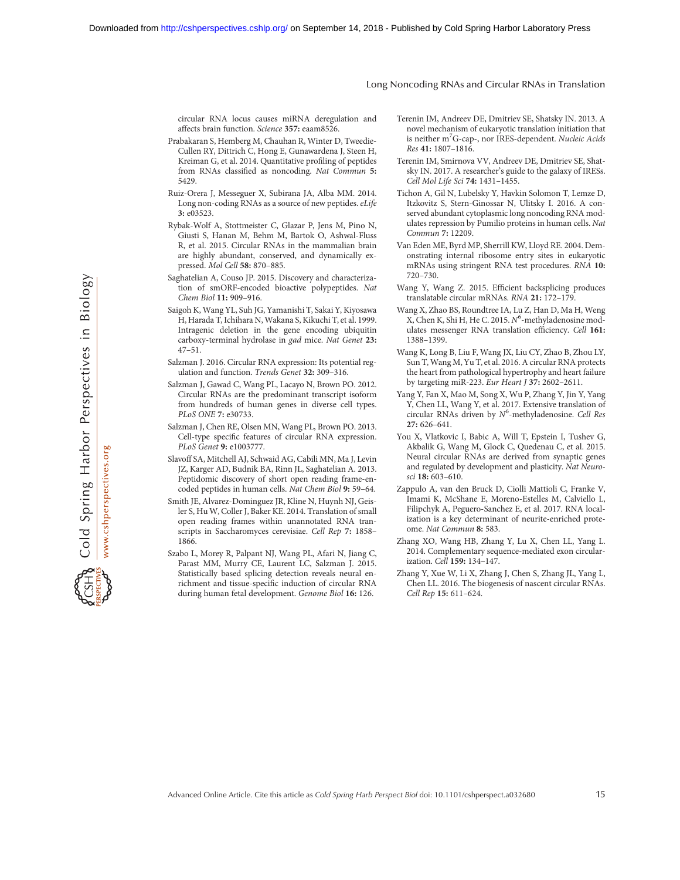circular RNA locus causes miRNA deregulation and affects brain function. Science 357: eaam8526.

- Prabakaran S, Hemberg M, Chauhan R, Winter D, Tweedie-Cullen RY, Dittrich C, Hong E, Gunawardena J, Steen H, Kreiman G, et al. 2014. Quantitative profiling of peptides from RNAs classified as noncoding. Nat Commun 5: 5429.
- Ruiz-Orera J, Messeguer X, Subirana JA, Alba MM. 2014. Long non-coding RNAs as a source of new peptides. eLife 3: e03523.
- Rybak-Wolf A, Stottmeister C, Glazar P, Jens M, Pino N, Giusti S, Hanan M, Behm M, Bartok O, Ashwal-Fluss R, et al. 2015. Circular RNAs in the mammalian brain are highly abundant, conserved, and dynamically expressed. Mol Cell 58: 870–885.
- Saghatelian A, Couso JP. 2015. Discovery and characterization of smORF-encoded bioactive polypeptides. Nat Chem Biol 11: 909–916.
- Saigoh K, Wang YL, Suh JG, Yamanishi T, Sakai Y, Kiyosawa H, Harada T, Ichihara N, Wakana S, Kikuchi T, et al. 1999. Intragenic deletion in the gene encoding ubiquitin carboxy-terminal hydrolase in gad mice. Nat Genet 23: 47–51.
- Salzman J. 2016. Circular RNA expression: Its potential regulation and function. Trends Genet 32: 309–316.
- Salzman J, Gawad C, Wang PL, Lacayo N, Brown PO. 2012. Circular RNAs are the predominant transcript isoform from hundreds of human genes in diverse cell types. PLoS ONE 7: e30733.
- Salzman J, Chen RE, Olsen MN, Wang PL, Brown PO. 2013. Cell-type specific features of circular RNA expression. PLoS Genet 9: e1003777.
- Slavoff SA, Mitchell AJ, Schwaid AG, Cabili MN, Ma J, Levin JZ, Karger AD, Budnik BA, Rinn JL, Saghatelian A. 2013. Peptidomic discovery of short open reading frame-encoded peptides in human cells. Nat Chem Biol 9: 59–64.
- Smith JE, Alvarez-Dominguez JR, Kline N, Huynh NJ, Geisler S, Hu W, Coller J, Baker KE. 2014. Translation of small open reading frames within unannotated RNA transcripts in Saccharomyces cerevisiae. Cell Rep 7: 1858– 1866.
- Szabo L, Morey R, Palpant NJ, Wang PL, Afari N, Jiang C, Parast MM, Murry CE, Laurent LC, Salzman J. 2015. Statistically based splicing detection reveals neural enrichment and tissue-specific induction of circular RNA during human fetal development. Genome Biol 16: 126.
- Terenin IM, Andreev DE, Dmitriev SE, Shatsky IN. 2013. A novel mechanism of eukaryotic translation initiation that is neither m<sup>7</sup>G-cap-, nor IRES-dependent. Nucleic Acids Res 41: 1807–1816.
- Terenin IM, Smirnova VV, Andreev DE, Dmitriev SE, Shatsky IN. 2017. A researcher's guide to the galaxy of IRESs. Cell Mol Life Sci 74: 1431–1455.
- Tichon A, Gil N, Lubelsky Y, Havkin Solomon T, Lemze D, Itzkovitz S, Stern-Ginossar N, Ulitsky I. 2016. A conserved abundant cytoplasmic long noncoding RNA modulates repression by Pumilio proteins in human cells. Nat Commun 7: 12209.
- Van Eden ME, Byrd MP, Sherrill KW, Lloyd RE. 2004. Demonstrating internal ribosome entry sites in eukaryotic mRNAs using stringent RNA test procedures. RNA 10: 720–730.
- Wang Y, Wang Z. 2015. Efficient backsplicing produces translatable circular mRNAs. RNA 21: 172–179.
- Wang X, Zhao BS, Roundtree IA, Lu Z, Han D, Ma H, Weng X, Chen K, Shi H, He C. 2015. N<sup>6</sup>-methyladenosine modulates messenger RNA translation efficiency. Cell 161: 1388–1399.
- Wang K, Long B, Liu F, Wang JX, Liu CY, Zhao B, Zhou LY, Sun T, Wang M, Yu T, et al. 2016. A circular RNA protects the heart from pathological hypertrophy and heart failure by targeting miR-223. Eur Heart J 37: 2602–2611.
- Yang Y, Fan X, Mao M, Song X, Wu P, Zhang Y, Jin Y, Yang Y, Chen LL, Wang Y, et al. 2017. Extensive translation of circular RNAs driven by  $N^6$ -methyladenosine. Cell Res 27: 626–641.
- You X, Vlatkovic I, Babic A, Will T, Epstein I, Tushev G, Akbalik G, Wang M, Glock C, Quedenau C, et al. 2015. Neural circular RNAs are derived from synaptic genes and regulated by development and plasticity. Nat Neurosci 18: 603–610.
- Zappulo A, van den Bruck D, Ciolli Mattioli C, Franke V, Imami K, McShane E, Moreno-Estelles M, Calviello L, Filipchyk A, Peguero-Sanchez E, et al. 2017. RNA localization is a key determinant of neurite-enriched proteome. Nat Commun 8: 583.
- Zhang XO, Wang HB, Zhang Y, Lu X, Chen LL, Yang L. 2014. Complementary sequence-mediated exon circularization. Cell 159: 134–147.
- Zhang Y, Xue W, Li X, Zhang J, Chen S, Zhang JL, Yang L, Chen LL. 2016. The biogenesis of nascent circular RNAs. Cell Rep 15: 611–624.